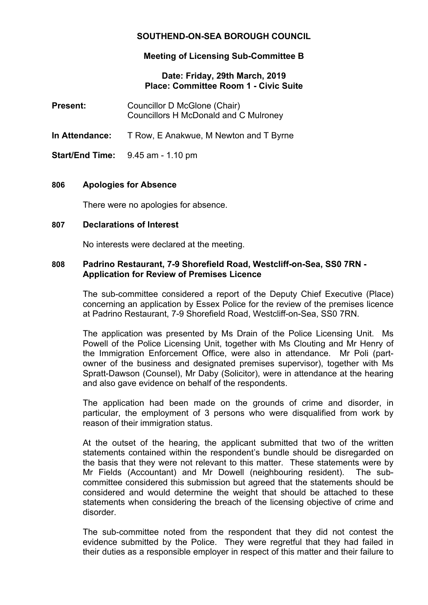# **SOUTHEND-ON-SEA BOROUGH COUNCIL**

# **Meeting of Licensing Sub-Committee B**

## **Date: Friday, 29th March, 2019 Place: Committee Room 1 - Civic Suite**

- **Present:** Councillor D McGlone (Chair) Councillors H McDonald and C Mulroney
- **In Attendance:** T Row, E Anakwue, M Newton and T Byrne
- **Start/End Time:** 9.45 am 1.10 pm

## **806 Apologies for Absence**

There were no apologies for absence.

#### **807 Declarations of Interest**

No interests were declared at the meeting.

### **808 Padrino Restaurant, 7-9 Shorefield Road, Westcliff-on-Sea, SS0 7RN - Application for Review of Premises Licence**

The sub-committee considered a report of the Deputy Chief Executive (Place) concerning an application by Essex Police for the review of the premises licence at Padrino Restaurant, 7-9 Shorefield Road, Westcliff-on-Sea, SS0 7RN.

The application was presented by Ms Drain of the Police Licensing Unit. Ms Powell of the Police Licensing Unit, together with Ms Clouting and Mr Henry of the Immigration Enforcement Office, were also in attendance. Mr Poli (partowner of the business and designated premises supervisor), together with Ms Spratt-Dawson (Counsel), Mr Daby (Solicitor), were in attendance at the hearing and also gave evidence on behalf of the respondents.

The application had been made on the grounds of crime and disorder, in particular, the employment of 3 persons who were disqualified from work by reason of their immigration status.

At the outset of the hearing, the applicant submitted that two of the written statements contained within the respondent's bundle should be disregarded on the basis that they were not relevant to this matter. These statements were by Mr Fields (Accountant) and Mr Dowell (neighbouring resident). The subcommittee considered this submission but agreed that the statements should be considered and would determine the weight that should be attached to these statements when considering the breach of the licensing objective of crime and disorder.

The sub-committee noted from the respondent that they did not contest the evidence submitted by the Police. They were regretful that they had failed in their duties as a responsible employer in respect of this matter and their failure to